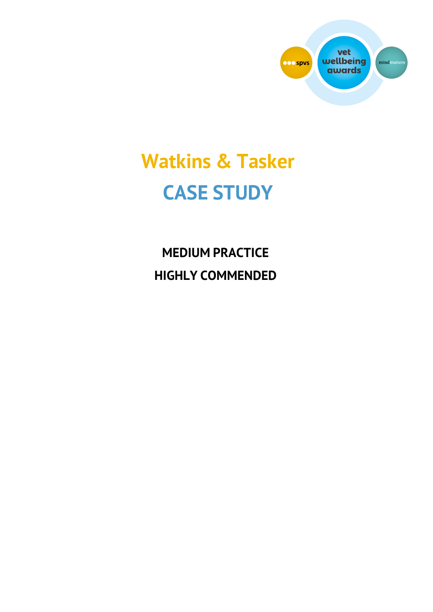

# **Watkins & Tasker CASE STUDY**

**MEDIUM PRACTICE HIGHLY COMMENDED**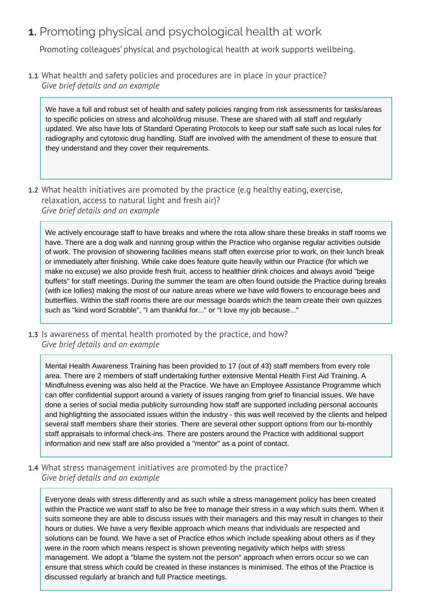## **1.** Promoting physical and psychological health at work

Promoting colleagues' physical and psychological health at work supports wellbeing.

**1.1** What health and safety policies and procedures are in place in your practice? *Give brief details and an example* 

We have a full and robust set of health and safety policies ranging from risk assessments for tasks/areas to specific policies on stress and alcohol/drug misuse. These are shared with all staff and regularly updated. We also have lots of Standard Operating Protocols to keep our staff safe such as local rules for radiography and cytotoxic drug handling. Staff are involved with the amendment of these to ensure that they understand and they cover their requirements.

**1.2** What health initiatives are promoted by the practice (e.g healthy eating, exercise, relaxation, access to natural light and fresh air)? *Give brief details and an example* 

We actively encourage staff to have breaks and where the rota allow share these breaks in staff rooms we have. There are a dog walk and running group within the Practice who organise regular activities outside of work. The provision of showering facilities means staff often exercise prior to work, on their lunch break or immediately after finishing. While cake does feature quite heavily within our Practice (for which we make no excuse) we also provide fresh fruit, access to healthier drink choices and always avoid "beige buffets" for staff meetings. During the summer the team are often found outside the Practice during breaks (with ice lollies) making the most of our nature areas where we have wild flowers to encourage bees and butterflies. Within the staff rooms there are our message boards which the team create their own quizzes such as "kind word Scrabble", "I am thankful for..." or "I love my job because..."

**1.3** Is awareness of mental health promoted by the practice, and how? *Give brief details and an example* 

Mental Health Awareness Training has been provided to 17 (out of 43) staff members from every role area. There are 2 members of staff undertaking further extensive Mental Health First Aid Training. A Mindfulness evening was also held at the Practice. We have an Employee Assistance Programme which can offer confidential support around a variety of issues ranging from grief to financial issues. We have done a series of social media publicity surrounding how staff are supported including personal accounts and highlighting the associated issues within the industry - this was well received by the clients and helped several staff members share their stories. There are several other support options from our bi-monthly staff appraisals to informal check-ins. There are posters around the Practice with additional support information and new staff are also provided a "mentor" as a point of contact.

**1.4** What stress management initiatives are promoted by the practice? *Give brief details and an example* 

Everyone deals with stress differently and as such while a stress management policy has been created within the Practice we want staff to also be free to manage their stress in a way which suits them. When it suits someone they are able to discuss issues with their managers and this may result in changes to their hours or duties. We have a very flexible approach which means that individuals are respected and solutions can be found. We have a set of Practice ethos which include speaking about others as if they were in the room which means respect is shown preventing negativity which helps with stress management. We adopt a "blame the system not the person" approach when errors occur so we can ensure that stress which could be created in these instances is minimised. The ethos of the Practice is discussed regularly at branch and full Practice meetings.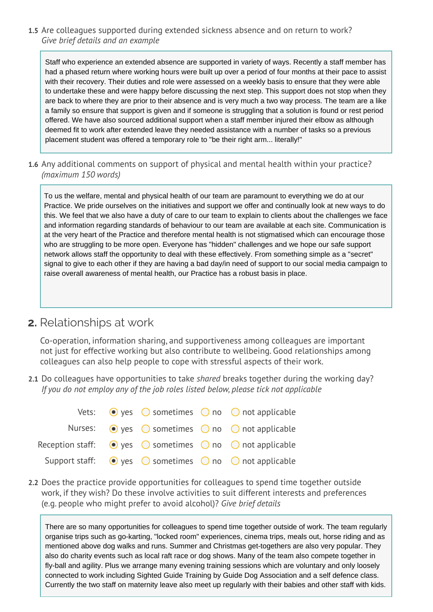**1.5** Are colleagues supported during extended sickness absence and on return to work? *Give brief details and an example* 

Staff who experience an extended absence are supported in variety of ways. Recently a staff member has had a phased return where working hours were built up over a period of four months at their pace to assist with their recovery. Their duties and role were assessed on a weekly basis to ensure that they were able to undertake these and were happy before discussing the next step. This support does not stop when they are back to where they are prior to their absence and is very much a two way process. The team are a like a family so ensure that support is given and if someone is struggling that a solution is found or rest period offered. We have also sourced additional support when a staff member injured their elbow as although deemed fit to work after extended leave they needed assistance with a number of tasks so a previous placement student was offered a temporary role to "be their right arm... literally!"

**1.6** Any additional comments on support of physical and mental health within your practice? *(maximum 150 words)* 

To us the welfare, mental and physical health of our team are paramount to everything we do at our Practice. We pride ourselves on the initiatives and support we offer and continually look at new ways to do this. We feel that we also have a duty of care to our team to explain to clients about the challenges we face and information regarding standards of behaviour to our team are available at each site. Communication is at the very heart of the Practice and therefore mental health is not stigmatised which can encourage those who are struggling to be more open. Everyone has "hidden" challenges and we hope our safe support network allows staff the opportunity to deal with these effectively. From something simple as a "secret" signal to give to each other if they are having a bad day/in need of support to our social media campaign to raise overall awareness of mental health, our Practice has a robust basis in place.

## **2.** Relationships at work

Co-operation, information sharing, and supportiveness among colleagues are important not just for effective working but also contribute to wellbeing. Good relationships among colleagues can also help people to cope with stressful aspects of their work.

**2.1** Do colleagues have opportunities to take *shared* breaks together during the working day? *If you do not employ any of the job roles listed below, please tick not applicable* 

|  |  | Vets: $\bullet$ yes $\circ$ sometimes $\circ$ no $\circ$ not applicable                      |
|--|--|----------------------------------------------------------------------------------------------|
|  |  | Nurses: $\odot$ yes $\odot$ sometimes $\odot$ no $\odot$ not applicable                      |
|  |  | Reception staff: $\bigcirc$ yes $\bigcirc$ sometimes $\bigcirc$ no $\bigcirc$ not applicable |
|  |  | Support staff: $\bigcirc$ yes $\bigcirc$ sometimes $\bigcirc$ no $\bigcirc$ not applicable   |

**2.2** Does the practice provide opportunities for colleagues to spend time together outside work, if they wish? Do these involve activities to suit different interests and preferences (e.g. people who might prefer to avoid alcohol)? *Give brief details*

There are so many opportunities for colleagues to spend time together outside of work. The team regularly organise trips such as go-karting, "locked room" experiences, cinema trips, meals out, horse riding and as mentioned above dog walks and runs. Summer and Christmas get-togethers are also very popular. They also do charity events such as local raft race or dog shows. Many of the team also compete together in fly-ball and agility. Plus we arrange many evening training sessions which are voluntary and only loosely connected to work including Sighted Guide Training by Guide Dog Association and a self defence class. Currently the two staff on maternity leave also meet up regularly with their babies and other staff with kids.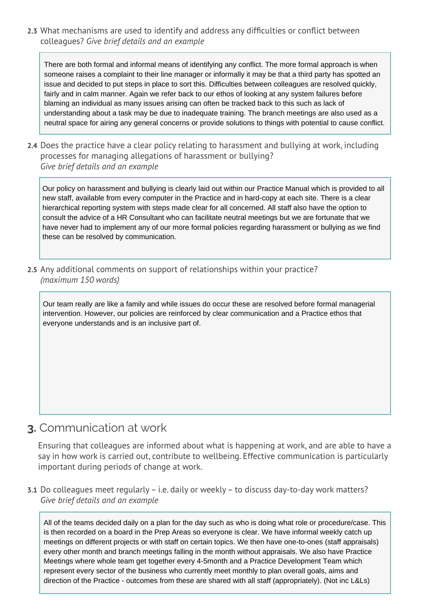**2.3** What mechanisms are used to identify and address any difficulties or conflict between colleagues? *Give brief details and an example* 

There are both formal and informal means of identifying any conflict. The more formal approach is when someone raises a complaint to their line manager or informally it may be that a third party has spotted an issue and decided to put steps in place to sort this. Difficulties between colleagues are resolved quickly, fairly and in calm manner. Again we refer back to our ethos of looking at any system failures before blaming an individual as many issues arising can often be tracked back to this such as lack of understanding about a task may be due to inadequate training. The branch meetings are also used as a neutral space for airing any general concerns or provide solutions to things with potential to cause conflict.

**2.4** Does the practice have a clear policy relating to harassment and bullying at work, including processes for managing allegations of harassment or bullying? *Give brief details and an example* 

Our policy on harassment and bullying is clearly laid out within our Practice Manual which is provided to all new staff, available from every computer in the Practice and in hard-copy at each site. There is a clear hierarchical reporting system with steps made clear for all concerned. All staff also have the option to consult the advice of a HR Consultant who can facilitate neutral meetings but we are fortunate that we have never had to implement any of our more formal policies regarding harassment or bullying as we find these can be resolved by communication.

**2.5** Any additional comments on support of relationships within your practice? *(maximum 150 words)*

Our team really are like a family and while issues do occur these are resolved before formal managerial intervention. However, our policies are reinforced by clear communication and a Practice ethos that everyone understands and is an inclusive part of.

#### **3.** Communication at work

Ensuring that colleagues are informed about what is happening at work, and are able to have a say in how work is carried out, contribute to wellbeing. Effective communication is particularly important during periods of change at work.

**3.1** Do colleagues meet regularly – i.e. daily or weekly – to discuss day-to-day work matters? *Give brief details and an example* 

All of the teams decided daily on a plan for the day such as who is doing what role or procedure/case. This is then recorded on a board in the Prep Areas so everyone is clear. We have informal weekly catch up meetings on different projects or with staff on certain topics. We then have one-to-ones (staff appraisals) every other month and branch meetings falling in the month without appraisals. We also have Practice Meetings where whole team get together every 4-5month and a Practice Development Team which represent every sector of the business who currently meet monthly to plan overall goals, aims and direction of the Practice - outcomes from these are shared with all staff (appropriately). (Not inc L&Ls)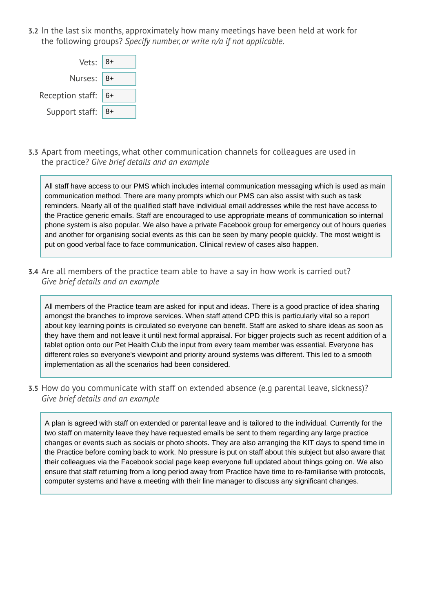**3.2** In the last six months, approximately how many meetings have been held at work for the following groups? *Specify number, or write n/a if not applicable.*

| Vets: $8+$            |  |
|-----------------------|--|
| Nurses: $8+$          |  |
| Reception staff: $6+$ |  |
| Support staff: $ 8+$  |  |

**3.3** Apart from meetings, what other communication channels for colleagues are used in the practice? *Give brief details and an example* 

All staff have access to our PMS which includes internal communication messaging which is used as main communication method. There are many prompts which our PMS can also assist with such as task reminders. Nearly all of the qualified staff have individual email addresses while the rest have access to the Practice generic emails. Staff are encouraged to use appropriate means of communication so internal phone system is also popular. We also have a private Facebook group for emergency out of hours queries and another for organising social events as this can be seen by many people quickly. The most weight is put on good verbal face to face communication. Clinical review of cases also happen.

**3.4** Are all members of the practice team able to have a say in how work is carried out? *Give brief details and an example* 

All members of the Practice team are asked for input and ideas. There is a good practice of idea sharing amongst the branches to improve services. When staff attend CPD this is particularly vital so a report about key learning points is circulated so everyone can benefit. Staff are asked to share ideas as soon as they have them and not leave it until next formal appraisal. For bigger projects such as recent addition of a tablet option onto our Pet Health Club the input from every team member was essential. Everyone has different roles so everyone's viewpoint and priority around systems was different. This led to a smooth implementation as all the scenarios had been considered.

**3.5** How do you communicate with staff on extended absence (e.g parental leave, sickness)? *Give brief details and an example* 

A plan is agreed with staff on extended or parental leave and is tailored to the individual. Currently for the two staff on maternity leave they have requested emails be sent to them regarding any large practice changes or events such as socials or photo shoots. They are also arranging the KIT days to spend time in the Practice before coming back to work. No pressure is put on staff about this subject but also aware that their colleagues via the Facebook social page keep everyone full updated about things going on. We also ensure that staff returning from a long period away from Practice have time to re-familiarise with protocols, computer systems and have a meeting with their line manager to discuss any significant changes.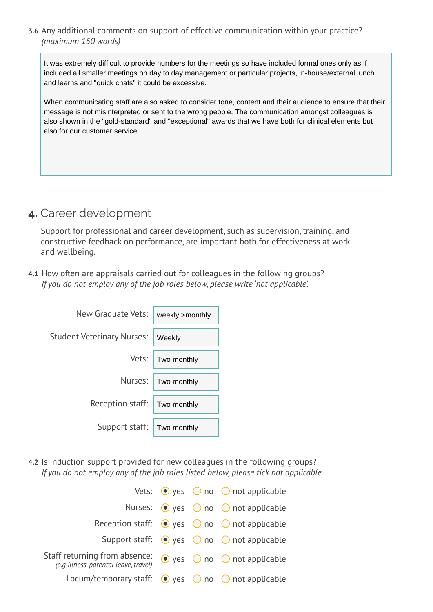**3.6** Any additional comments on support of effective communication within your practice? *(maximum 150 words)*

It was extremely difficult to provide numbers for the meetings so have included formal ones only as if included all smaller meetings on day to day management or particular projects, in-house/external lunch and learns and "quick chats" it could be excessive.

When communicating staff are also asked to consider tone, content and their audience to ensure that their message is not misinterpreted or sent to the wrong people. The communication amongst colleagues is also shown in the "gold-standard" and "exceptional" awards that we have both for clinical elements but also for our customer service.

## **4.** Career development

Support for professional and career development, such as supervision, training, and constructive feedback on performance, are important both for effectiveness at work and wellbeing.

**4.1** How often are appraisals carried out for colleagues in the following groups? *If you do not employ any of the job roles below, please write 'not applicable'.*

| New Graduate Vets:                | weekly >monthly |
|-----------------------------------|-----------------|
| <b>Student Veterinary Nurses:</b> | Weekly          |
| Vets:                             | Two monthly     |
| Nurses:                           | Two monthly     |
| Reception staff:                  | Two monthly     |
| Support staff:                    | Two monthly     |

**4.2** Is induction support provided for new colleagues in the following groups? *If you do not employ any of the job roles listed below, please tick not applicable* 

|                                                                                                                        |  | Vets: $\bullet$ yes $\circ$ no $\circ$ not applicable            |
|------------------------------------------------------------------------------------------------------------------------|--|------------------------------------------------------------------|
|                                                                                                                        |  | Nurses: $\odot$ yes $\odot$ no $\odot$ not applicable            |
|                                                                                                                        |  | Reception staff: $\bullet$ yes $\circ$ no $\circ$ not applicable |
|                                                                                                                        |  | Support staff: $\bullet$ yes $\circ$ no $\circ$ not applicable   |
| Staff returning from absence: $\bullet$ yes $\circ$ no $\circ$ not applicable<br>(e.g illness, parental leave, travel) |  |                                                                  |
| Locum/temporary staff: $\bullet$ yes $\circ$ no $\circ$ not applicable                                                 |  |                                                                  |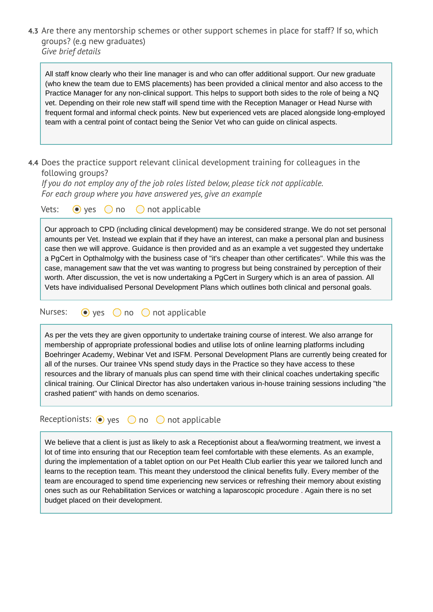**4.3** Are there any mentorship schemes or other support schemes in place for staff? If so, which groups? (e.g new graduates) *Give brief details*

All staff know clearly who their line manager is and who can offer additional support. Our new graduate (who knew the team due to EMS placements) has been provided a clinical mentor and also access to the Practice Manager for any non-clinical support. This helps to support both sides to the role of being a NQ vet. Depending on their role new staff will spend time with the Reception Manager or Head Nurse with frequent formal and informal check points. New but experienced vets are placed alongside long-employed team with a central point of contact being the Senior Vet who can guide on clinical aspects.

**4.4** Does the practice support relevant clinical development training for colleagues in the following groups?

*If you do not employ any of the job roles listed below, please tick not applicable. For each group where you have answered yes, give an example* 

Vets:  $\odot$  yes  $\odot$  no  $\odot$  not applicable

Our approach to CPD (including clinical development) may be considered strange. We do not set personal amounts per Vet. Instead we explain that if they have an interest, can make a personal plan and business case then we will approve. Guidance is then provided and as an example a vet suggested they undertake a PgCert in Opthalmolgy with the business case of "it's cheaper than other certificates". While this was the case, management saw that the vet was wanting to progress but being constrained by perception of their worth. After discussion, the vet is now undertaking a PgCert in Surgery which is an area of passion. All Vets have individualised Personal Development Plans which outlines both clinical and personal goals.

Nurses:  $\odot$  yes  $\odot$  no  $\odot$  not applicable

As per the vets they are given opportunity to undertake training course of interest. We also arrange for membership of appropriate professional bodies and utilise lots of online learning platforms including Boehringer Academy, Webinar Vet and ISFM. Personal Development Plans are currently being created for all of the nurses. Our trainee VNs spend study days in the Practice so they have access to these resources and the library of manuals plus can spend time with their clinical coaches undertaking specific clinical training. Our Clinical Director has also undertaken various in-house training sessions including "the crashed patient" with hands on demo scenarios.

Receptionists:  $\odot$  yes  $\odot$  no  $\odot$  not applicable

We believe that a client is just as likely to ask a Receptionist about a flea/worming treatment, we invest a lot of time into ensuring that our Reception team feel comfortable with these elements. As an example, during the implementation of a tablet option on our Pet Health Club earlier this year we tailored lunch and learns to the reception team. This meant they understood the clinical benefits fully. Every member of the team are encouraged to spend time experiencing new services or refreshing their memory about existing ones such as our Rehabilitation Services or watching a laparoscopic procedure . Again there is no set budget placed on their development.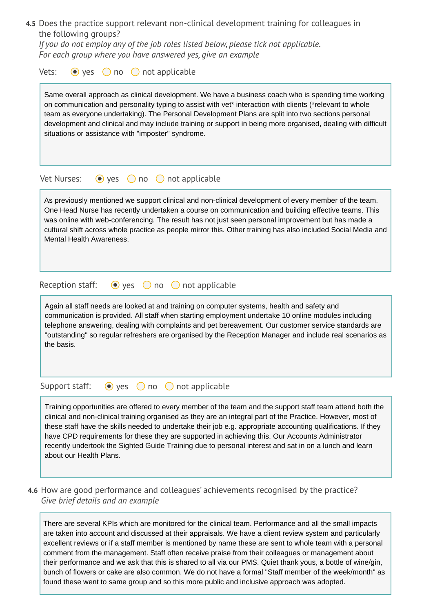| 4.5 Does the practice support relevant non-clinical development training for colleagues in |  |  |  |
|--------------------------------------------------------------------------------------------|--|--|--|
| the following groups?                                                                      |  |  |  |

*If you do not employ any of the job roles listed below, please tick not applicable. For each group where you have answered yes, give an example* 

| Vets:<br>$\bigcirc$ no $\bigcirc$ not applicable<br>$\bullet$ yes                                                                                                                                                                                                                                                                                                                                                                                                                                                                                                                  |
|------------------------------------------------------------------------------------------------------------------------------------------------------------------------------------------------------------------------------------------------------------------------------------------------------------------------------------------------------------------------------------------------------------------------------------------------------------------------------------------------------------------------------------------------------------------------------------|
| Same overall approach as clinical development. We have a business coach who is spending time working<br>on communication and personality typing to assist with vet* interaction with clients (*relevant to whole<br>team as everyone undertaking). The Personal Development Plans are split into two sections personal<br>development and clinical and may include training or support in being more organised, dealing with difficult<br>situations or assistance with "imposter" syndrome.                                                                                       |
| Vet Nurses:<br>$\bigcirc$ no $\bigcirc$ not applicable<br>$\bullet$ yes                                                                                                                                                                                                                                                                                                                                                                                                                                                                                                            |
| As previously mentioned we support clinical and non-clinical development of every member of the team.<br>One Head Nurse has recently undertaken a course on communication and building effective teams. This<br>was online with web-conferencing. The result has not just seen personal improvement but has made a<br>cultural shift across whole practice as people mirror this. Other training has also included Social Media and<br>Mental Health Awareness.                                                                                                                    |
| Reception staff:<br>$\bullet$ yes $\circ$ no $\circ$ not applicable                                                                                                                                                                                                                                                                                                                                                                                                                                                                                                                |
| Again all staff needs are looked at and training on computer systems, health and safety and<br>communication is provided. All staff when starting employment undertake 10 online modules including<br>telephone answering, dealing with complaints and pet bereavement. Our customer service standards are<br>"outstanding" so regular refreshers are organised by the Reception Manager and include real scenarios as<br>the basis.                                                                                                                                               |
| Support staff:<br>not applicable<br>$\bullet$ yes<br>no<br>$\left( \quad \right)$                                                                                                                                                                                                                                                                                                                                                                                                                                                                                                  |
| Training opportunities are offered to every member of the team and the support staff team attend both the<br>clinical and non-clinical training organised as they are an integral part of the Practice. However, most of<br>these staff have the skills needed to undertake their job e.g. appropriate accounting qualifications. If they<br>have CPD requirements for these they are supported in achieving this. Our Accounts Administrator<br>recently undertook the Sighted Guide Training due to personal interest and sat in on a lunch and learn<br>about our Health Plans. |

**4.6** How are good performance and colleagues' achievements recognised by the practice? *Give brief details and an example* 

There are several KPIs which are monitored for the clinical team. Performance and all the small impacts are taken into account and discussed at their appraisals. We have a client review system and particularly excellent reviews or if a staff member is mentioned by name these are sent to whole team with a personal comment from the management. Staff often receive praise from their colleagues or management about their performance and we ask that this is shared to all via our PMS. Quiet thank yous, a bottle of wine/gin, bunch of flowers or cake are also common. We do not have a formal "Staff member of the week/month" as found these went to same group and so this more public and inclusive approach was adopted.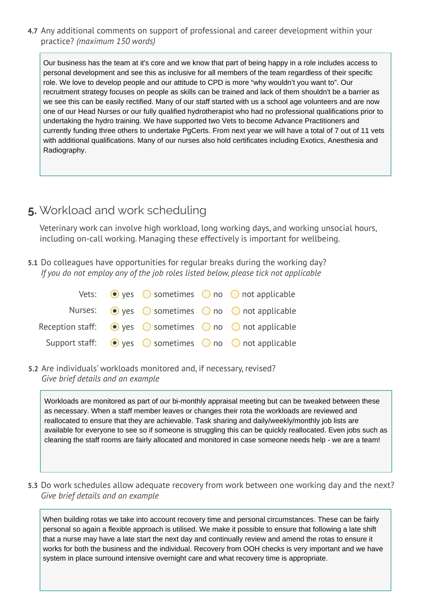**4.7** Any additional comments on support of professional and career development within your practice? *(maximum 150 words)*

Our business has the team at it's core and we know that part of being happy in a role includes access to personal development and see this as inclusive for all members of the team regardless of their specific role. We love to develop people and our attitude to CPD is more "why wouldn't you want to". Our recruitment strategy focuses on people as skills can be trained and lack of them shouldn't be a barrier as we see this can be easily rectified. Many of our staff started with us a school age volunteers and are now one of our Head Nurses or our fully qualified hydrotherapist who had no professional qualifications prior to undertaking the hydro training. We have supported two Vets to become Advance Practitioners and currently funding three others to undertake PgCerts. From next year we will have a total of 7 out of 11 vets with additional qualifications. Many of our nurses also hold certificates including Exotics, Anesthesia and Radiography.

# **5.** Workload and work scheduling

Veterinary work can involve high workload, long working days, and working unsocial hours, including on-call working. Managing these effectively is important for wellbeing.

**5.1** Do colleagues have opportunities for regular breaks during the working day? *If you do not employ any of the job roles listed below, please tick not applicable* 

|  |  | Vets: $\bullet$ yes $\circ$ sometimes $\circ$ no $\circ$ not applicable                      |
|--|--|----------------------------------------------------------------------------------------------|
|  |  | Nurses: $\bullet$ yes $\circ$ sometimes $\circ$ no $\circ$ not applicable                    |
|  |  | Reception staff: $\bigcirc$ yes $\bigcirc$ sometimes $\bigcirc$ no $\bigcirc$ not applicable |
|  |  | Support staff: $\bullet$ yes $\circ$ sometimes $\circ$ no $\circ$ not applicable             |

**5.2** Are individuals' workloads monitored and, if necessary, revised? *Give brief details and an example* 

Workloads are monitored as part of our bi-monthly appraisal meeting but can be tweaked between these as necessary. When a staff member leaves or changes their rota the workloads are reviewed and reallocated to ensure that they are achievable. Task sharing and daily/weekly/monthly job lists are available for everyone to see so if someone is struggling this can be quickly reallocated. Even jobs such as cleaning the staff rooms are fairly allocated and monitored in case someone needs help - we are a team!

**5.3** Do work schedules allow adequate recovery from work between one working day and the next? *Give brief details and an example* 

When building rotas we take into account recovery time and personal circumstances. These can be fairly personal so again a flexible approach is utilised. We make it possible to ensure that following a late shift that a nurse may have a late start the next day and continually review and amend the rotas to ensure it works for both the business and the individual. Recovery from OOH checks is very important and we have system in place surround intensive overnight care and what recovery time is appropriate.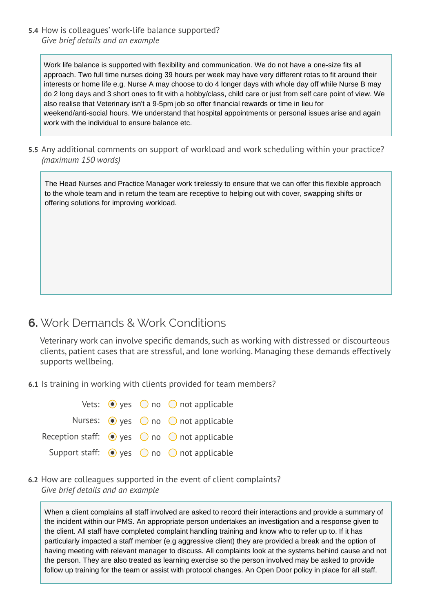**5.4** How is colleagues' work-life balance supported? *Give brief details and an example* 

Work life balance is supported with flexibility and communication. We do not have a one-size fits all approach. Two full time nurses doing 39 hours per week may have very different rotas to fit around their interests or home life e.g. Nurse A may choose to do 4 longer days with whole day off while Nurse B may do 2 long days and 3 short ones to fit with a hobby/class, child care or just from self care point of view. We also realise that Veterinary isn't a 9-5pm job so offer financial rewards or time in lieu for weekend/anti-social hours. We understand that hospital appointments or personal issues arise and again work with the individual to ensure balance etc.

**5.5** Any additional comments on support of workload and work scheduling within your practice? *(maximum 150 words)*

The Head Nurses and Practice Manager work tirelessly to ensure that we can offer this flexible approach to the whole team and in return the team are receptive to helping out with cover, swapping shifts or offering solutions for improving workload.

## **6.** Work Demands & Work Conditions

Veterinary work can involve specific demands, such as working with distressed or discourteous clients, patient cases that are stressful, and lone working. Managing these demands effectively supports wellbeing.

**6.1** Is training in working with clients provided for team members?

|  | Vets: $\bullet$ yes $\circ$ no $\circ$ not applicable            |
|--|------------------------------------------------------------------|
|  | Nurses: $\odot$ yes $\odot$ no $\odot$ not applicable            |
|  | Reception staff: $\bullet$ yes $\circ$ no $\circ$ not applicable |
|  | Support staff: $\bullet$ yes $\circ$ no $\circ$ not applicable   |

**6.2** How are colleagues supported in the event of client complaints? *Give brief details and an example* 

When a client complains all staff involved are asked to record their interactions and provide a summary of the incident within our PMS. An appropriate person undertakes an investigation and a response given to the client. All staff have completed complaint handling training and know who to refer up to. If it has particularly impacted a staff member (e.g aggressive client) they are provided a break and the option of having meeting with relevant manager to discuss. All complaints look at the systems behind cause and not the person. They are also treated as learning exercise so the person involved may be asked to provide follow up training for the team or assist with protocol changes. An Open Door policy in place for all staff.